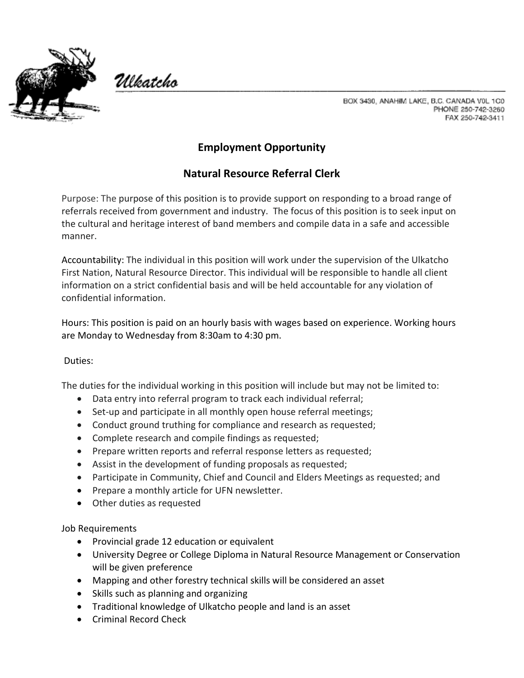

Ulkatcho

BOX 3430, ANAHIM LAKE, B.C. CANADA VOL 1C0 PHONE 250-742-3260 FAX 250-742-3411

## **Employment Opportunity**

## **Natural Resource Referral Clerk**

Purpose: The purpose of this position is to provide support on responding to a broad range of referrals received from government and industry. The focus of this position is to seek input on the cultural and heritage interest of band members and compile data in a safe and accessible manner.

Accountability: The individual in this position will work under the supervision of the Ulkatcho First Nation, Natural Resource Director. This individual will be responsible to handle all client information on a strict confidential basis and will be held accountable for any violation of confidential information.

Hours: This position is paid on an hourly basis with wages based on experience. Working hours are Monday to Wednesday from 8:30am to 4:30 pm.

## Duties:

The duties for the individual working in this position will include but may not be limited to:

- Data entry into referral program to track each individual referral;
- Set-up and participate in all monthly open house referral meetings;
- Conduct ground truthing for compliance and research as requested;
- Complete research and compile findings as requested;
- Prepare written reports and referral response letters as requested;
- Assist in the development of funding proposals as requested;
- Participate in Community, Chief and Council and Elders Meetings as requested; and
- Prepare a monthly article for UFN newsletter.
- Other duties as requested

Job Requirements

- Provincial grade 12 education or equivalent
- University Degree or College Diploma in Natural Resource Management or Conservation will be given preference
- Mapping and other forestry technical skills will be considered an asset
- Skills such as planning and organizing
- Traditional knowledge of Ulkatcho people and land is an asset
- Criminal Record Check